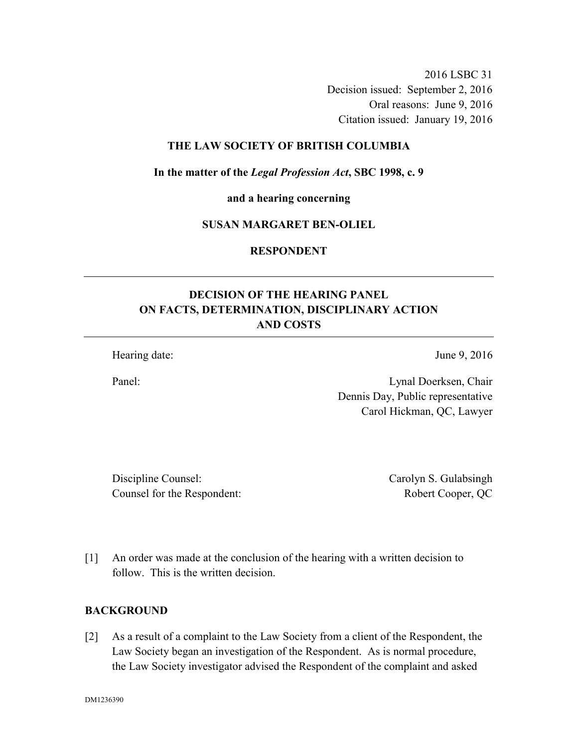2016 LSBC 31 Decision issued: September 2, 2016

Oral reasons: June 9, 2016

Citation issued: January 19, 2016

# **THE LAW SOCIETY OF BRITISH COLUMBIA**

**In the matter of the** *Legal Profession Act***, SBC 1998, c. 9** 

**and a hearing concerning** 

# **SUSAN MARGARET BEN-OLIEL**

**RESPONDENT** 

# **DECISION OF THE HEARING PANEL ON FACTS, DETERMINATION, DISCIPLINARY ACTION AND COSTS**

Hearing date: June 9, 2016

Panel: Lynal Doerksen, Chair Dennis Day, Public representative Carol Hickman, QC, Lawyer

Discipline Counsel: Carolyn S. Gulabsingh Counsel for the Respondent: Robert Cooper, QC

[1] An order was made at the conclusion of the hearing with a written decision to follow. This is the written decision.

## **BACKGROUND**

[2] As a result of a complaint to the Law Society from a client of the Respondent, the Law Society began an investigation of the Respondent. As is normal procedure, the Law Society investigator advised the Respondent of the complaint and asked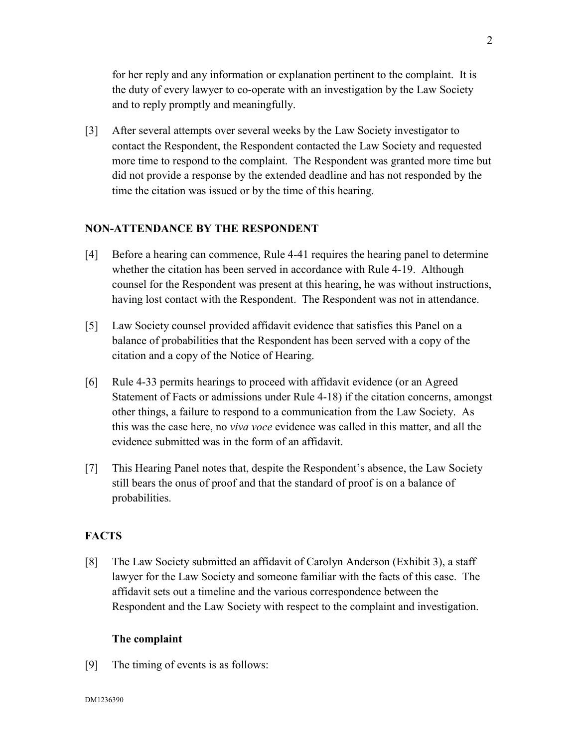for her reply and any information or explanation pertinent to the complaint. It is the duty of every lawyer to co-operate with an investigation by the Law Society and to reply promptly and meaningfully.

[3] After several attempts over several weeks by the Law Society investigator to contact the Respondent, the Respondent contacted the Law Society and requested more time to respond to the complaint. The Respondent was granted more time but did not provide a response by the extended deadline and has not responded by the time the citation was issued or by the time of this hearing.

## **NON-ATTENDANCE BY THE RESPONDENT**

- [4] Before a hearing can commence, Rule 4-41 requires the hearing panel to determine whether the citation has been served in accordance with Rule 4-19. Although counsel for the Respondent was present at this hearing, he was without instructions, having lost contact with the Respondent. The Respondent was not in attendance.
- [5] Law Society counsel provided affidavit evidence that satisfies this Panel on a balance of probabilities that the Respondent has been served with a copy of the citation and a copy of the Notice of Hearing.
- [6] Rule 4-33 permits hearings to proceed with affidavit evidence (or an Agreed Statement of Facts or admissions under Rule 4-18) if the citation concerns, amongst other things, a failure to respond to a communication from the Law Society. As this was the case here, no *viva voce* evidence was called in this matter, and all the evidence submitted was in the form of an affidavit.
- [7] This Hearing Panel notes that, despite the Respondent's absence, the Law Society still bears the onus of proof and that the standard of proof is on a balance of probabilities.

# **FACTS**

[8] The Law Society submitted an affidavit of Carolyn Anderson (Exhibit 3), a staff lawyer for the Law Society and someone familiar with the facts of this case. The affidavit sets out a timeline and the various correspondence between the Respondent and the Law Society with respect to the complaint and investigation.

## **The complaint**

[9] The timing of events is as follows: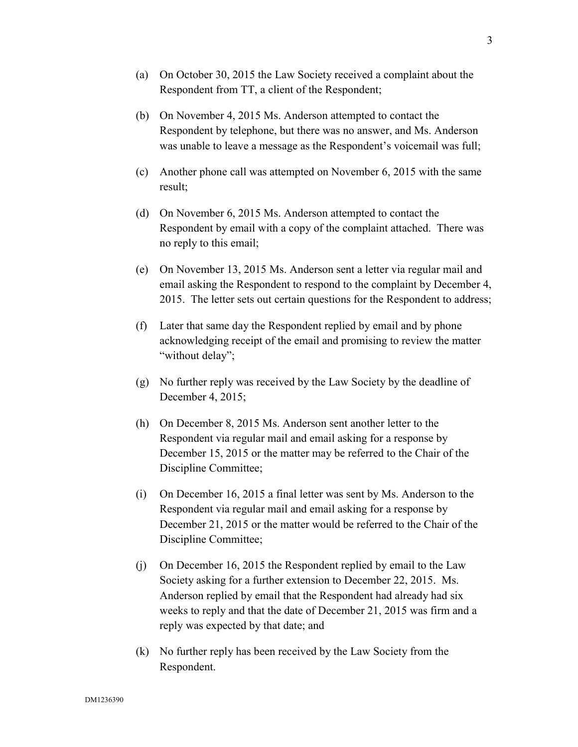- (a) On October 30, 2015 the Law Society received a complaint about the Respondent from TT, a client of the Respondent;
- (b) On November 4, 2015 Ms. Anderson attempted to contact the Respondent by telephone, but there was no answer, and Ms. Anderson was unable to leave a message as the Respondent's voicemail was full;
- (c) Another phone call was attempted on November 6, 2015 with the same result;
- (d) On November 6, 2015 Ms. Anderson attempted to contact the Respondent by email with a copy of the complaint attached. There was no reply to this email;
- (e) On November 13, 2015 Ms. Anderson sent a letter via regular mail and email asking the Respondent to respond to the complaint by December 4, 2015. The letter sets out certain questions for the Respondent to address;
- (f) Later that same day the Respondent replied by email and by phone acknowledging receipt of the email and promising to review the matter "without delay";
- (g) No further reply was received by the Law Society by the deadline of December 4, 2015;
- (h) On December 8, 2015 Ms. Anderson sent another letter to the Respondent via regular mail and email asking for a response by December 15, 2015 or the matter may be referred to the Chair of the Discipline Committee;
- (i) On December 16, 2015 a final letter was sent by Ms. Anderson to the Respondent via regular mail and email asking for a response by December 21, 2015 or the matter would be referred to the Chair of the Discipline Committee;
- (j) On December 16, 2015 the Respondent replied by email to the Law Society asking for a further extension to December 22, 2015. Ms. Anderson replied by email that the Respondent had already had six weeks to reply and that the date of December 21, 2015 was firm and a reply was expected by that date; and
- (k) No further reply has been received by the Law Society from the Respondent.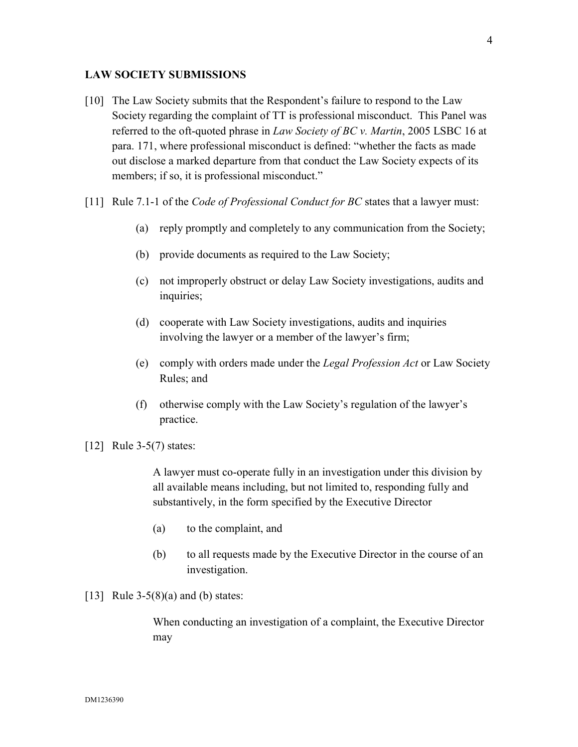## **LAW SOCIETY SUBMISSIONS**

- [10] The Law Society submits that the Respondent's failure to respond to the Law Society regarding the complaint of TT is professional misconduct. This Panel was referred to the oft-quoted phrase in *Law Society of BC v. Martin*, 2005 LSBC 16 at para. 171, where professional misconduct is defined: "whether the facts as made out disclose a marked departure from that conduct the Law Society expects of its members; if so, it is professional misconduct."
- [11] Rule 7.1-1 of the *Code of Professional Conduct for BC* states that a lawyer must:
	- (a) reply promptly and completely to any communication from the Society;
	- (b) provide documents as required to the Law Society;
	- (c) not improperly obstruct or delay Law Society investigations, audits and inquiries;
	- (d) cooperate with Law Society investigations, audits and inquiries involving the lawyer or a member of the lawyer's firm;
	- (e) comply with orders made under the *Legal Profession Act* or Law Society Rules; and
	- (f) otherwise comply with the Law Society's regulation of the lawyer's practice.
- [12] Rule 3-5(7) states:

A lawyer must co-operate fully in an investigation under this division by all available means including, but not limited to, responding fully and substantively, in the form specified by the Executive Director

- (a) to the complaint, and
- (b) to all requests made by the Executive Director in the course of an investigation.
- [13] Rule  $3-5(8)(a)$  and (b) states:

When conducting an investigation of a complaint, the Executive Director may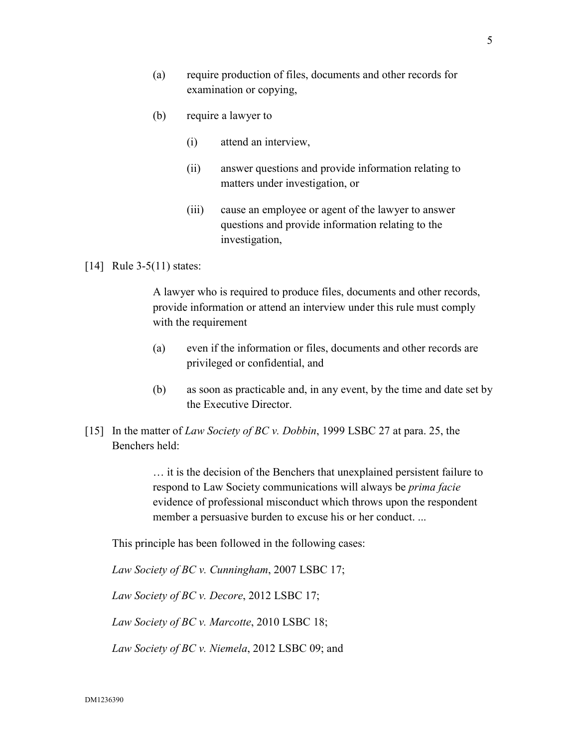- (a) require production of files, documents and other records for examination or copying,
- (b) require a lawyer to
	- (i) attend an interview,
	- (ii) answer questions and provide information relating to matters under investigation, or
	- (iii) cause an employee or agent of the lawyer to answer questions and provide information relating to the investigation,

## [14] Rule 3-5(11) states:

A lawyer who is required to produce files, documents and other records, provide information or attend an interview under this rule must comply with the requirement

- (a) even if the information or files, documents and other records are privileged or confidential, and
- (b) as soon as practicable and, in any event, by the time and date set by the Executive Director.
- [15] In the matter of *Law Society of BC v. Dobbin*, 1999 LSBC 27 at para. 25, the Benchers held:

… it is the decision of the Benchers that unexplained persistent failure to respond to Law Society communications will always be *prima facie* evidence of professional misconduct which throws upon the respondent member a persuasive burden to excuse his or her conduct. ...

This principle has been followed in the following cases:

*Law Society of BC v. Cunningham*, 2007 LSBC 17;

*Law Society of BC v. Decore*, 2012 LSBC 17;

*Law Society of BC v. Marcotte*, 2010 LSBC 18;

*Law Society of BC v. Niemela*, 2012 LSBC 09; and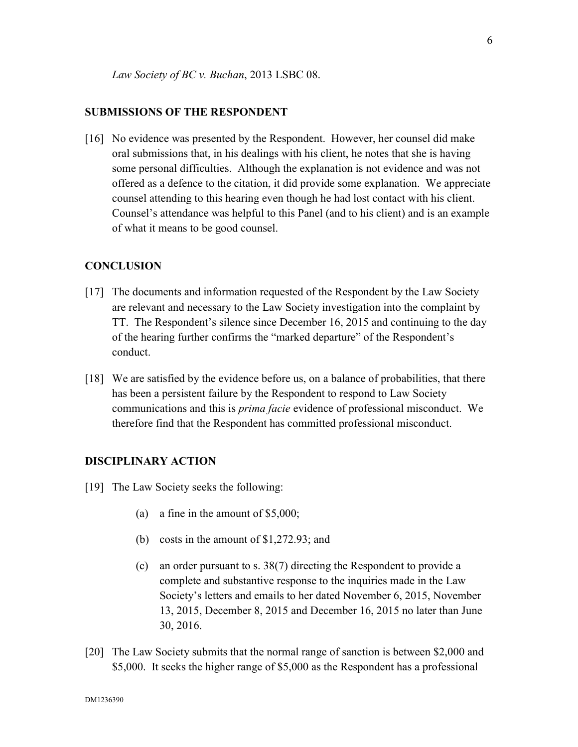#### **SUBMISSIONS OF THE RESPONDENT**

[16] No evidence was presented by the Respondent. However, her counsel did make oral submissions that, in his dealings with his client, he notes that she is having some personal difficulties. Although the explanation is not evidence and was not offered as a defence to the citation, it did provide some explanation. We appreciate counsel attending to this hearing even though he had lost contact with his client. Counsel's attendance was helpful to this Panel (and to his client) and is an example of what it means to be good counsel.

#### **CONCLUSION**

- [17] The documents and information requested of the Respondent by the Law Society are relevant and necessary to the Law Society investigation into the complaint by TT. The Respondent's silence since December 16, 2015 and continuing to the day of the hearing further confirms the "marked departure" of the Respondent's conduct.
- [18] We are satisfied by the evidence before us, on a balance of probabilities, that there has been a persistent failure by the Respondent to respond to Law Society communications and this is *prima facie* evidence of professional misconduct. We therefore find that the Respondent has committed professional misconduct.

#### **DISCIPLINARY ACTION**

- [19] The Law Society seeks the following:
	- (a) a fine in the amount of \$5,000;
	- (b) costs in the amount of \$1,272.93; and
	- (c) an order pursuant to s. 38(7) directing the Respondent to provide a complete and substantive response to the inquiries made in the Law Society's letters and emails to her dated November 6, 2015, November 13, 2015, December 8, 2015 and December 16, 2015 no later than June 30, 2016.
- [20] The Law Society submits that the normal range of sanction is between \$2,000 and \$5,000. It seeks the higher range of \$5,000 as the Respondent has a professional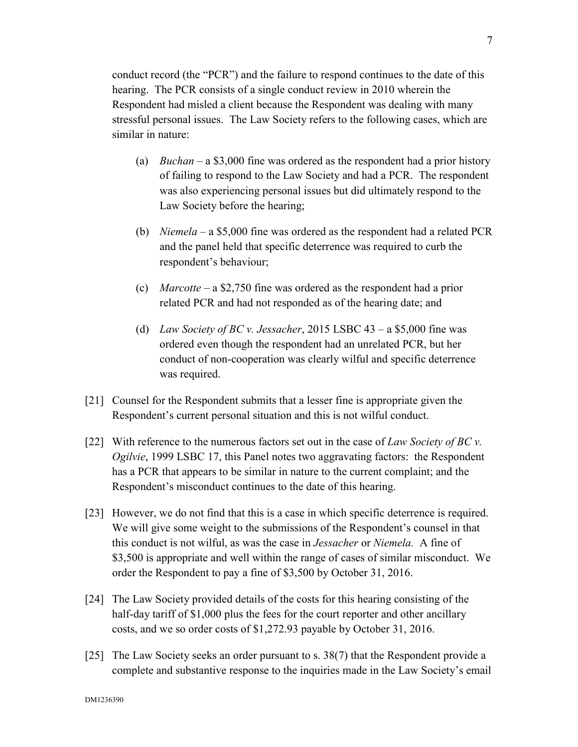conduct record (the "PCR") and the failure to respond continues to the date of this hearing. The PCR consists of a single conduct review in 2010 wherein the Respondent had misled a client because the Respondent was dealing with many stressful personal issues. The Law Society refers to the following cases, which are similar in nature:

- (a) *Buchan*  a \$3,000 fine was ordered as the respondent had a prior history of failing to respond to the Law Society and had a PCR. The respondent was also experiencing personal issues but did ultimately respond to the Law Society before the hearing;
- (b) *Niemela*  a \$5,000 fine was ordered as the respondent had a related PCR and the panel held that specific deterrence was required to curb the respondent's behaviour;
- (c) *Marcotte* a \$2,750 fine was ordered as the respondent had a prior related PCR and had not responded as of the hearing date; and
- (d) *Law Society of BC v. Jessacher*, 2015 LSBC 43 a \$5,000 fine was ordered even though the respondent had an unrelated PCR, but her conduct of non-cooperation was clearly wilful and specific deterrence was required.
- [21] Counsel for the Respondent submits that a lesser fine is appropriate given the Respondent's current personal situation and this is not wilful conduct.
- [22] With reference to the numerous factors set out in the case of *Law Society of BC v. Ogilvie*, 1999 LSBC 17, this Panel notes two aggravating factors: the Respondent has a PCR that appears to be similar in nature to the current complaint; and the Respondent's misconduct continues to the date of this hearing.
- [23] However, we do not find that this is a case in which specific deterrence is required. We will give some weight to the submissions of the Respondent's counsel in that this conduct is not wilful, as was the case in *Jessacher* or *Niemela.* A fine of \$3,500 is appropriate and well within the range of cases of similar misconduct. We order the Respondent to pay a fine of \$3,500 by October 31, 2016.
- [24] The Law Society provided details of the costs for this hearing consisting of the half-day tariff of \$1,000 plus the fees for the court reporter and other ancillary costs, and we so order costs of \$1,272.93 payable by October 31, 2016.
- [25] The Law Society seeks an order pursuant to s. 38(7) that the Respondent provide a complete and substantive response to the inquiries made in the Law Society's email